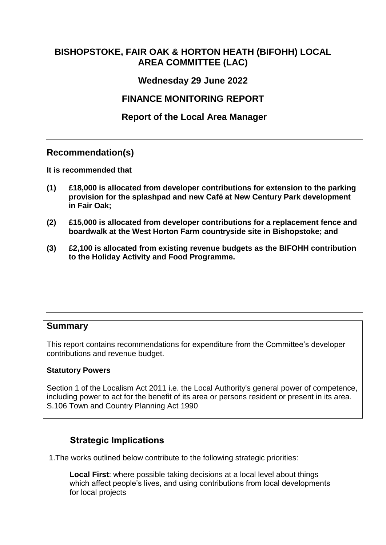# <span id="page-0-0"></span>**BISHOPSTOKE, FAIR OAK & HORTON HEATH (BIFOHH) LOCAL AREA COMMITTEE (LAC)**

## **Wednesday 29 June 2022**

# **FINANCE MONITORING REPORT**

### **[Report of the Local Area Manager](#page-0-0)**

#### **Recommendation(s)**

<span id="page-0-1"></span>**[It is recommended that](#page-0-1)** 

- **(1) £18,000 is allocated from developer contributions for extension to the parking provision for the splashpad and new Café at New Century Park development in Fair Oak;**
- **(2) £15,000 is allocated from developer contributions for a replacement fence and boardwalk at the West Horton Farm countryside site in Bishopstoke; and**
- **(3) £2,100 is allocated from existing revenue budgets as the BIFOHH contribution to the Holiday Activity and Food Programme.**

#### <span id="page-0-2"></span>**[Summary](#page-0-2)**

This report contains recommendations for expenditure from the Committee's developer contributions and revenue budget.

#### <span id="page-0-3"></span>**[Statutory Powers](#page-0-3)**

Section 1 of the Localism Act 2011 i.e. the Local Authority's general power of competence, including power to act for the benefit of its area or persons resident or present in its area. S.106 Town and Country Planning Act 1990

# **Strategic Implications**

1.The works outlined below contribute to the following strategic priorities:

**Local First**: where possible taking decisions at a local level about things which affect people's lives, and using contributions from local developments for local projects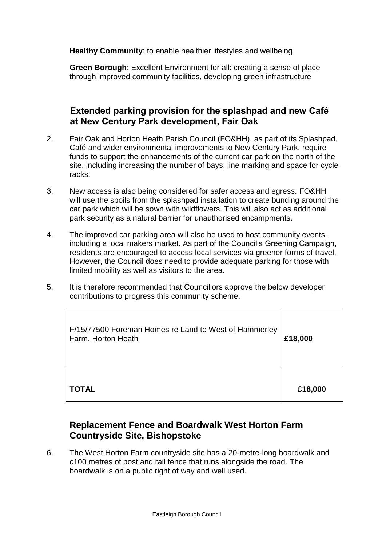**Healthy Community**: to enable healthier lifestyles and wellbeing

**Green Borough**: Excellent Environment for all: creating a sense of place through improved community facilities, developing green infrastructure

#### **Extended parking provision for the splashpad and new Café at New Century Park development, Fair Oak**

- 2. Fair Oak and Horton Heath Parish Council (FO&HH), as part of its Splashpad, Café and wider environmental improvements to New Century Park, require funds to support the enhancements of the current car park on the north of the site, including increasing the number of bays, line marking and space for cycle racks.
- 3. New access is also being considered for safer access and egress. FO&HH will use the spoils from the splashpad installation to create bunding around the car park which will be sown with wildflowers. This will also act as additional park security as a natural barrier for unauthorised encampments.
- 4. The improved car parking area will also be used to host community events, including a local makers market. As part of the Council's Greening Campaign, residents are encouraged to access local services via greener forms of travel. However, the Council does need to provide adequate parking for those with limited mobility as well as visitors to the area.
- 5. It is therefore recommended that Councillors approve the below developer contributions to progress this community scheme.

| F/15/77500 Foreman Homes re Land to West of Hammerley<br>Farm, Horton Heath | £18,000 |
|-----------------------------------------------------------------------------|---------|
| <b>TOTAL</b>                                                                | £18,000 |

# **Replacement Fence and Boardwalk West Horton Farm Countryside Site, Bishopstoke**

6. The West Horton Farm countryside site has a 20-metre-long boardwalk and c100 metres of post and rail fence that runs alongside the road. The boardwalk is on a public right of way and well used.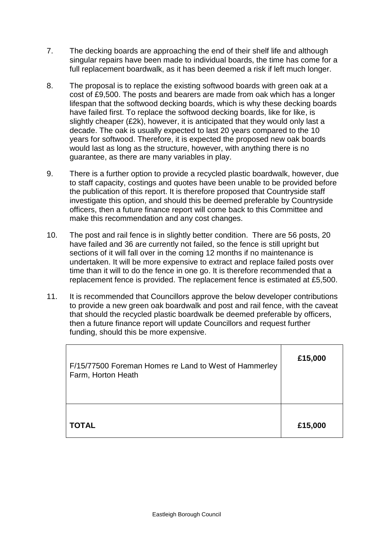- 7. The decking boards are approaching the end of their shelf life and although singular repairs have been made to individual boards, the time has come for a full replacement boardwalk, as it has been deemed a risk if left much longer.
- 8. The proposal is to replace the existing softwood boards with green oak at a cost of £9,500. The posts and bearers are made from oak which has a longer lifespan that the softwood decking boards, which is why these decking boards have failed first. To replace the softwood decking boards, like for like, is slightly cheaper (£2k), however, it is anticipated that they would only last a decade. The oak is usually expected to last 20 years compared to the 10 years for softwood. Therefore, it is expected the proposed new oak boards would last as long as the structure, however, with anything there is no guarantee, as there are many variables in play.
- 9. There is a further option to provide a recycled plastic boardwalk, however, due to staff capacity, costings and quotes have been unable to be provided before the publication of this report. It is therefore proposed that Countryside staff investigate this option, and should this be deemed preferable by Countryside officers, then a future finance report will come back to this Committee and make this recommendation and any cost changes.
- 10. The post and rail fence is in slightly better condition. There are 56 posts, 20 have failed and 36 are currently not failed, so the fence is still upright but sections of it will fall over in the coming 12 months if no maintenance is undertaken. It will be more expensive to extract and replace failed posts over time than it will to do the fence in one go. It is therefore recommended that a replacement fence is provided. The replacement fence is estimated at £5,500.
- 11. It is recommended that Councillors approve the below developer contributions to provide a new green oak boardwalk and post and rail fence, with the caveat that should the recycled plastic boardwalk be deemed preferable by officers, then a future finance report will update Councillors and request further funding, should this be more expensive.

| F/15/77500 Foreman Homes re Land to West of Hammerley<br>Farm, Horton Heath | £15,000 |
|-----------------------------------------------------------------------------|---------|
| <b>TOTAL</b>                                                                | £15,000 |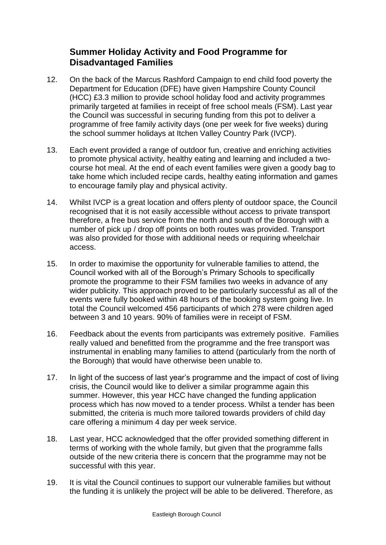# **Summer Holiday Activity and Food Programme for Disadvantaged Families**

- 12. On the back of the Marcus Rashford Campaign to end child food poverty the Department for Education (DFE) have given Hampshire County Council (HCC) £3.3 million to provide school holiday food and activity programmes primarily targeted at families in receipt of free school meals (FSM). Last year the Council was successful in securing funding from this pot to deliver a programme of free family activity days (one per week for five weeks) during the school summer holidays at Itchen Valley Country Park (IVCP).
- 13. Each event provided a range of outdoor fun, creative and enriching activities to promote physical activity, healthy eating and learning and included a twocourse hot meal. At the end of each event families were given a goody bag to take home which included recipe cards, healthy eating information and games to encourage family play and physical activity.
- 14. Whilst IVCP is a great location and offers plenty of outdoor space, the Council recognised that it is not easily accessible without access to private transport therefore, a free bus service from the north and south of the Borough with a number of pick up / drop off points on both routes was provided. Transport was also provided for those with additional needs or requiring wheelchair access.
- 15. In order to maximise the opportunity for vulnerable families to attend, the Council worked with all of the Borough's Primary Schools to specifically promote the programme to their FSM families two weeks in advance of any wider publicity. This approach proved to be particularly successful as all of the events were fully booked within 48 hours of the booking system going live. In total the Council welcomed 456 participants of which 278 were children aged between 3 and 10 years. 90% of families were in receipt of FSM.
- 16. Feedback about the events from participants was extremely positive. Families really valued and benefitted from the programme and the free transport was instrumental in enabling many families to attend (particularly from the north of the Borough) that would have otherwise been unable to.
- 17. In light of the success of last year's programme and the impact of cost of living crisis, the Council would like to deliver a similar programme again this summer. However, this year HCC have changed the funding application process which has now moved to a tender process. Whilst a tender has been submitted, the criteria is much more tailored towards providers of child day care offering a minimum 4 day per week service.
- 18. Last year, HCC acknowledged that the offer provided something different in terms of working with the whole family, but given that the programme falls outside of the new criteria there is concern that the programme may not be successful with this year.
- 19. It is vital the Council continues to support our vulnerable families but without the funding it is unlikely the project will be able to be delivered. Therefore, as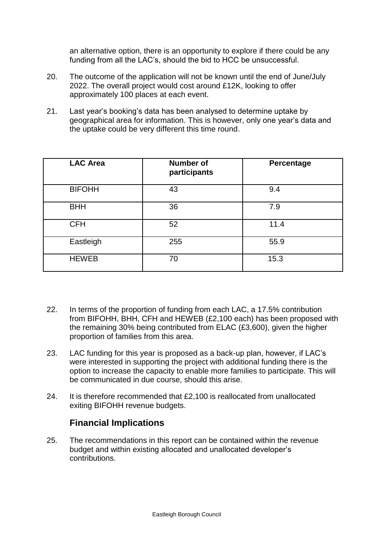an alternative option, there is an opportunity to explore if there could be any funding from all the LAC's, should the bid to HCC be unsuccessful.

- 20. The outcome of the application will not be known until the end of June/July 2022. The overall project would cost around £12K, looking to offer approximately 100 places at each event.
- 21. Last year's booking's data has been analysed to determine uptake by geographical area for information. This is however, only one year's data and the uptake could be very different this time round.

| <b>LAC Area</b> | <b>Number of</b><br>participants | Percentage |
|-----------------|----------------------------------|------------|
| <b>BIFOHH</b>   | 43                               | 9.4        |
| <b>BHH</b>      | 36                               | 7.9        |
| <b>CFH</b>      | 52                               | 11.4       |
| Eastleigh       | 255                              | 55.9       |
| <b>HEWEB</b>    | 70                               | 15.3       |

- 22. In terms of the proportion of funding from each LAC, a 17.5% contribution from BIFOHH, BHH, CFH and HEWEB (£2,100 each) has been proposed with the remaining 30% being contributed from ELAC (£3,600), given the higher proportion of families from this area.
- 23. LAC funding for this year is proposed as a back-up plan, however, if LAC's were interested in supporting the project with additional funding there is the option to increase the capacity to enable more families to participate. This will be communicated in due course, should this arise.
- 24. It is therefore recommended that £2,100 is reallocated from unallocated exiting BIFOHH revenue budgets.

#### **Financial Implications**

25. The recommendations in this report can be contained within the revenue budget and within existing allocated and unallocated developer's contributions.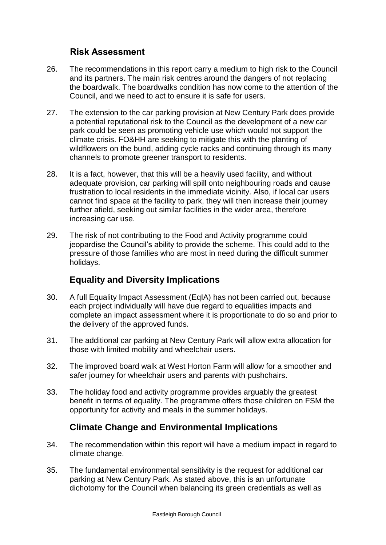## **[Risk Assessment](#page-5-0)**

- <span id="page-5-0"></span>26. The recommendations in this report carry a medium to high risk to the Council and its partners. The main risk centres around the dangers of not replacing the boardwalk. The boardwalks condition has now come to the attention of the Council, and we need to act to ensure it is safe for users.
- 27. The extension to the car parking provision at New Century Park does provide a potential reputational risk to the Council as the development of a new car park could be seen as promoting vehicle use which would not support the climate crisis. FO&HH are seeking to mitigate this with the planting of wildflowers on the bund, adding cycle racks and continuing through its many channels to promote greener transport to residents.
- 28. It is a fact, however, that this will be a heavily used facility, and without adequate provision, car parking will spill onto neighbouring roads and cause frustration to local residents in the immediate vicinity. Also, if local car users cannot find space at the facility to park, they will then increase their journey further afield, seeking out similar facilities in the wider area, therefore increasing car use.
- 29. The risk of not contributing to the Food and Activity programme could jeopardise the Council's ability to provide the scheme. This could add to the pressure of those families who are most in need during the difficult summer holidays.

# **Equality and Diversity Implications**

- 30. A full Equality Impact Assessment (EqIA) has not been carried out, because each project individually will have due regard to equalities impacts and complete an impact assessment where it is proportionate to do so and prior to the delivery of the approved funds.
- 31. The additional car parking at New Century Park will allow extra allocation for those with limited mobility and wheelchair users.
- 32. The improved board walk at West Horton Farm will allow for a smoother and safer journey for wheelchair users and parents with pushchairs.
- 33. The holiday food and activity programme provides arguably the greatest benefit in terms of equality. The programme offers those children on FSM the opportunity for activity and meals in the summer holidays.

# **Climate Change and Environmental Implications**

- 34. The recommendation within this report will have a medium impact in regard to climate change.
- 35. The fundamental environmental sensitivity is the request for additional car parking at New Century Park. As stated above, this is an unfortunate dichotomy for the Council when balancing its green credentials as well as